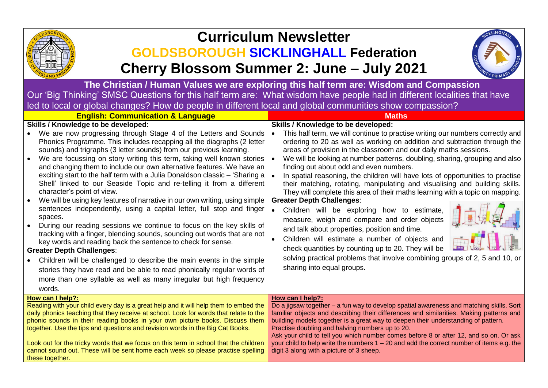

## **Curriculum Newsletter**

## **GOLDSBOROUGH SICKLINGHALL Federation**

## **Cherry Blossom Summer 2: June – July 2021**



**The Christian / Human Values we are exploring this half term are: Wisdom and Compassion** Our 'Big Thinking' SMSC Questions for this half term are: What wisdom have people had in different localities that have led to local or global changes? How do people in different local and global communities show compassion?

| <b>English: Communication &amp; Language</b>                                                                                                                                                                                                                                                                                                                                                                                                                                                                                                                                                                                                                                                                                                                                                                                                                                                                                                                                                                                                                                                                                                                                                                                                           | <b>Maths</b>                                                                                                                                                                                                                                                                                                                                                                                                                                                                                                                                                                                                                                                                                                                                                                                                                                                                                                                                                                                                                                                  |
|--------------------------------------------------------------------------------------------------------------------------------------------------------------------------------------------------------------------------------------------------------------------------------------------------------------------------------------------------------------------------------------------------------------------------------------------------------------------------------------------------------------------------------------------------------------------------------------------------------------------------------------------------------------------------------------------------------------------------------------------------------------------------------------------------------------------------------------------------------------------------------------------------------------------------------------------------------------------------------------------------------------------------------------------------------------------------------------------------------------------------------------------------------------------------------------------------------------------------------------------------------|---------------------------------------------------------------------------------------------------------------------------------------------------------------------------------------------------------------------------------------------------------------------------------------------------------------------------------------------------------------------------------------------------------------------------------------------------------------------------------------------------------------------------------------------------------------------------------------------------------------------------------------------------------------------------------------------------------------------------------------------------------------------------------------------------------------------------------------------------------------------------------------------------------------------------------------------------------------------------------------------------------------------------------------------------------------|
| Skills / Knowledge to be developed:<br>We are now progressing through Stage 4 of the Letters and Sounds<br>Phonics Programme. This includes recapping all the diagraphs (2 letter<br>sounds) and trigraphs (3 letter sounds) from our previous learning.<br>We are focussing on story writing this term, taking well known stories<br>and changing them to include our own alternative features. We have an<br>exciting start to the half term with a Julia Donaldson classic - 'Sharing a<br>Shell' linked to our Seaside Topic and re-telling it from a different<br>character's point of view.<br>We will be using key features of narrative in our own writing, using simple<br>sentences independently, using a capital letter, full stop and finger<br>spaces.<br>During our reading sessions we continue to focus on the key skills of<br>tracking with a finger, blending sounds, sounding out words that are not<br>key words and reading back the sentence to check for sense.<br><b>Greater Depth Challenges:</b><br>Children will be challenged to describe the main events in the simple<br>stories they have read and be able to read phonically regular words of<br>more than one syllable as well as many irregular but high frequency | Skills / Knowledge to be developed:<br>This half term, we will continue to practise writing our numbers correctly and<br>ordering to 20 as well as working on addition and subtraction through the<br>areas of provision in the classroom and our daily maths sessions.<br>We will be looking at number patterns, doubling, sharing, grouping and also<br>finding out about odd and even numbers.<br>In spatial reasoning, the children will have lots of opportunities to practise<br>their matching, rotating, manipulating and visualising and building skills.<br>They will complete this area of their maths learning with a topic on mapping.<br><b>Greater Depth Challenges:</b><br>Children will be exploring how to estimate,<br>measure, weigh and compare and order objects<br>and talk about properties, position and time.<br>Children will estimate a number of objects and<br>check quantities by counting up to 20. They will be<br>solving practical problems that involve combining groups of 2, 5 and 10, or<br>sharing into equal groups. |
| words.<br>How can I help?:<br>Reading with your child every day is a great help and it will help them to embed the<br>daily phonics teaching that they receive at school. Look for words that relate to the<br>phonic sounds in their reading books in your own picture books. Discuss them<br>together. Use the tips and questions and revision words in the Big Cat Books.<br>Look out for the tricky words that we focus on this term in school that the children<br>cannot sound out. These will be sent home each week so please practise spelling<br>these together.                                                                                                                                                                                                                                                                                                                                                                                                                                                                                                                                                                                                                                                                             | How can I help?:<br>Do a jigsaw together - a fun way to develop spatial awareness and matching skills. Sort<br>familiar objects and describing their differences and similarities. Making patterns and<br>building models together is a great way to deepen their understanding of pattern.<br>Practise doubling and halving numbers up to 20.<br>Ask your child to tell you which number comes before 8 or after 12, and so on. Or ask<br>your child to help write the numbers $1 - 20$ and add the correct number of items e.g. the<br>digit 3 along with a picture of 3 sheep.                                                                                                                                                                                                                                                                                                                                                                                                                                                                             |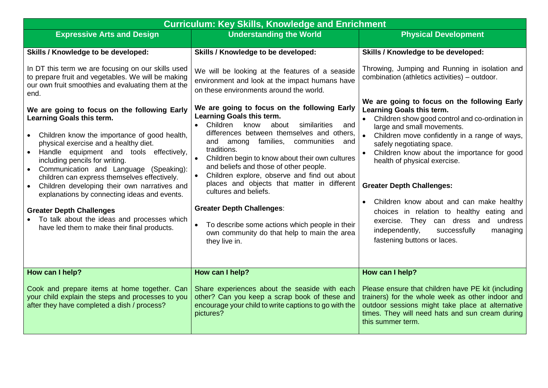| <b>Curriculum: Key Skills, Knowledge and Enrichment</b>                                                                                                                                                                                                                                                                                                                                                                                                                                                                                                                          |                                                                                                                                                                                                                                                                                                                                                                                                                                                                                                                                                                                                                    |                                                                                                                                                                                                                                                                                                                                                                                                                                                                                                                                                                                           |  |  |
|----------------------------------------------------------------------------------------------------------------------------------------------------------------------------------------------------------------------------------------------------------------------------------------------------------------------------------------------------------------------------------------------------------------------------------------------------------------------------------------------------------------------------------------------------------------------------------|--------------------------------------------------------------------------------------------------------------------------------------------------------------------------------------------------------------------------------------------------------------------------------------------------------------------------------------------------------------------------------------------------------------------------------------------------------------------------------------------------------------------------------------------------------------------------------------------------------------------|-------------------------------------------------------------------------------------------------------------------------------------------------------------------------------------------------------------------------------------------------------------------------------------------------------------------------------------------------------------------------------------------------------------------------------------------------------------------------------------------------------------------------------------------------------------------------------------------|--|--|
| <b>Expressive Arts and Design</b>                                                                                                                                                                                                                                                                                                                                                                                                                                                                                                                                                | <b>Understanding the World</b>                                                                                                                                                                                                                                                                                                                                                                                                                                                                                                                                                                                     | <b>Physical Development</b>                                                                                                                                                                                                                                                                                                                                                                                                                                                                                                                                                               |  |  |
| Skills / Knowledge to be developed:                                                                                                                                                                                                                                                                                                                                                                                                                                                                                                                                              | Skills / Knowledge to be developed:                                                                                                                                                                                                                                                                                                                                                                                                                                                                                                                                                                                | Skills / Knowledge to be developed:                                                                                                                                                                                                                                                                                                                                                                                                                                                                                                                                                       |  |  |
| In DT this term we are focusing on our skills used<br>to prepare fruit and vegetables. We will be making<br>our own fruit smoothies and evaluating them at the<br>end.                                                                                                                                                                                                                                                                                                                                                                                                           | We will be looking at the features of a seaside<br>environment and look at the impact humans have<br>on these environments around the world.                                                                                                                                                                                                                                                                                                                                                                                                                                                                       | Throwing, Jumping and Running in isolation and<br>combination (athletics activities) - outdoor.                                                                                                                                                                                                                                                                                                                                                                                                                                                                                           |  |  |
| We are going to focus on the following Early<br>Learning Goals this term.<br>• Children know the importance of good health,<br>physical exercise and a healthy diet.<br>Handle equipment and tools effectively,<br>including pencils for writing.<br>Communication and Language (Speaking):<br>children can express themselves effectively.<br>• Children developing their own narratives and<br>explanations by connecting ideas and events.<br><b>Greater Depth Challenges</b><br>• To talk about the ideas and processes which<br>have led them to make their final products. | We are going to focus on the following Early<br>Learning Goals this term.<br>Children<br>know<br>about<br>similarities<br>and<br>differences between themselves and others,<br>families, communities<br>and among<br>and<br>traditions.<br>Children begin to know about their own cultures<br>and beliefs and those of other people.<br>Children explore, observe and find out about<br>places and objects that matter in different<br>cultures and beliefs.<br><b>Greater Depth Challenges:</b><br>To describe some actions which people in their<br>own community do that help to main the area<br>they live in. | We are going to focus on the following Early<br>Learning Goals this term.<br>Children show good control and co-ordination in<br>large and small movements.<br>Children move confidently in a range of ways,<br>safely negotiating space.<br>Children know about the importance for good<br>health of physical exercise.<br><b>Greater Depth Challenges:</b><br>Children know about and can make healthy<br>$\bullet$<br>choices in relation to healthy eating and<br>exercise. They can dress and<br>undress<br>independently,<br>successfully<br>managing<br>fastening buttons or laces. |  |  |
| How can I help?                                                                                                                                                                                                                                                                                                                                                                                                                                                                                                                                                                  | How can I help?                                                                                                                                                                                                                                                                                                                                                                                                                                                                                                                                                                                                    | How can I help?                                                                                                                                                                                                                                                                                                                                                                                                                                                                                                                                                                           |  |  |
| Cook and prepare items at home together. Can<br>your child explain the steps and processes to you<br>after they have completed a dish / process?                                                                                                                                                                                                                                                                                                                                                                                                                                 | Share experiences about the seaside with each<br>other? Can you keep a scrap book of these and<br>encourage your child to write captions to go with the<br>pictures?                                                                                                                                                                                                                                                                                                                                                                                                                                               | Please ensure that children have PE kit (including<br>trainers) for the whole week as other indoor and<br>outdoor sessions might take place at alternative<br>times. They will need hats and sun cream during<br>this summer term.                                                                                                                                                                                                                                                                                                                                                        |  |  |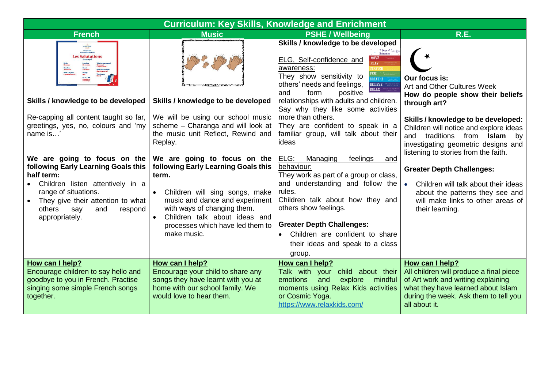| <b>Curriculum: Key Skills, Knowledge and Enrichment</b>                                                                                                                                                                                 |                                                                                                                                                                                                                                                                                  |                                                                                                                                                                                                                                                                                                                             |                                                                                                                                                                                                                 |  |  |
|-----------------------------------------------------------------------------------------------------------------------------------------------------------------------------------------------------------------------------------------|----------------------------------------------------------------------------------------------------------------------------------------------------------------------------------------------------------------------------------------------------------------------------------|-----------------------------------------------------------------------------------------------------------------------------------------------------------------------------------------------------------------------------------------------------------------------------------------------------------------------------|-----------------------------------------------------------------------------------------------------------------------------------------------------------------------------------------------------------------|--|--|
| <b>French</b>                                                                                                                                                                                                                           | <b>Music</b>                                                                                                                                                                                                                                                                     | <b>PSHE / Wellbeing</b>                                                                                                                                                                                                                                                                                                     | <b>R.E.</b>                                                                                                                                                                                                     |  |  |
| to his hunde<br>Office<br>www.hiptimode.co.u<br><b>Les Salutations</b><br>Hello<br>Boajour<br>Goodbye<br>Au revoir<br>Skills / knowledge to be developed                                                                                | Skills / knowledge to be developed                                                                                                                                                                                                                                               | Skills / knowledge to be developed<br>7 Steps of $\int_{t-\ln x}^{t} k(t) dt$<br>ELG, Self-confidence and<br>PLAY<br>awareness:<br>EEL<br>They show sensitivity to<br><b>BREATHE</b><br>others' needs and feelings,<br><b>BELIEVE</b><br><b>RELAX</b><br>and<br>form<br>positive<br>relationships with adults and children. | Our focus is:<br>Art and Other Cultures Week<br>How do people show their beliefs<br>through art?                                                                                                                |  |  |
| Re-capping all content taught so far,<br>greetings, yes, no, colours and 'my<br>name is'                                                                                                                                                | We will be using our school music<br>scheme - Charanga and will look at<br>the music unit Reflect, Rewind and<br>Replay.                                                                                                                                                         | Say why they like some activities<br>more than others.<br>They are confident to speak in a<br>familiar group, will talk about their<br>ideas                                                                                                                                                                                | Skills / knowledge to be developed:<br>Children will notice and explore ideas<br>traditions<br><b>Islam</b><br>from<br>and<br>by<br>investigating geometric designs and<br>listening to stories from the faith. |  |  |
| We are going to focus on the<br>following Early Learning Goals this<br>half term:<br>Children listen attentively in a<br>range of situations.<br>They give their attention to what<br>others<br>say<br>and<br>respond<br>appropriately. | We are going to focus on the<br>following Early Learning Goals this<br>term.<br>Children will sing songs, make<br>$\bullet$<br>music and dance and experiment<br>with ways of changing them.<br>Children talk about ideas and<br>processes which have led them to<br>make music. | ELG:<br>Managing<br>feelings<br>and<br>behaviour:<br>They work as part of a group or class,<br>and understanding and follow the<br>rules.<br>Children talk about how they and<br>others show feelings.<br><b>Greater Depth Challenges:</b><br>Children are confident to share<br>their ideas and speak to a class<br>group. | <b>Greater Depth Challenges:</b><br>Children will talk about their ideas<br>about the patterns they see and<br>will make links to other areas of<br>their learning.                                             |  |  |
| How can I help?<br>Encourage children to say hello and<br>goodbye to you in French. Practise<br>singing some simple French songs<br>together.                                                                                           | How can I help?<br>Encourage your child to share any<br>songs they have learnt with you at<br>home with our school family. We<br>would love to hear them.                                                                                                                        | How can I help?<br>Talk with your<br>child about their<br>emotions<br>mindful<br>and<br>explore<br>moments using Relax Kids activities<br>or Cosmic Yoga.<br>https://www.relaxkids.com/                                                                                                                                     | How can I help?<br>All children will produce a final piece<br>of Art work and writing explaining<br>what they have learned about Islam<br>during the week. Ask them to tell you<br>all about it.                |  |  |